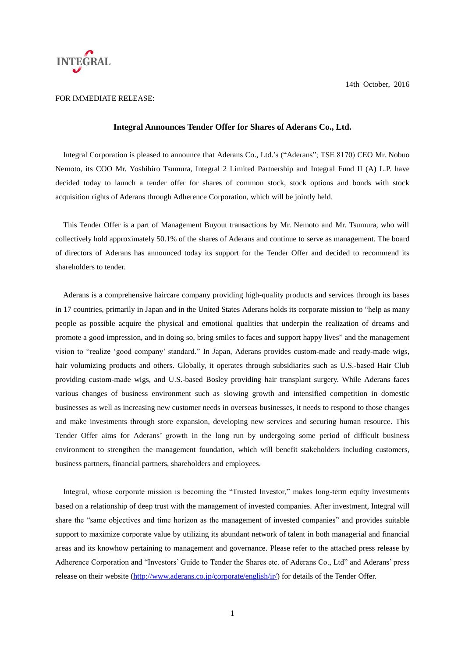

#### **Integral Announces Tender Offer for Shares of Aderans Co., Ltd.**

Integral Corporation is pleased to announce that Aderans Co., Ltd.'s ("Aderans"; TSE 8170) CEO Mr. Nobuo Nemoto, its COO Mr. Yoshihiro Tsumura, Integral 2 Limited Partnership and Integral Fund II (A) L.P. have decided today to launch a tender offer for shares of common stock, stock options and bonds with stock acquisition rights of Aderans through Adherence Corporation, which will be jointly held.

This Tender Offer is a part of Management Buyout transactions by Mr. Nemoto and Mr. Tsumura, who will collectively hold approximately 50.1% of the shares of Aderans and continue to serve as management. The board of directors of Aderans has announced today its support for the Tender Offer and decided to recommend its shareholders to tender.

Aderans is a comprehensive haircare company providing high-quality products and services through its bases in 17 countries, primarily in Japan and in the United States Aderans holds its corporate mission to "help as many people as possible acquire the physical and emotional qualities that underpin the realization of dreams and promote a good impression, and in doing so, bring smiles to faces and support happy lives" and the management vision to "realize 'good company' standard." In Japan, Aderans provides custom-made and ready-made wigs, hair volumizing products and others. Globally, it operates through subsidiaries such as U.S.-based Hair Club providing custom-made wigs, and U.S.-based Bosley providing hair transplant surgery. While Aderans faces various changes of business environment such as slowing growth and intensified competition in domestic businesses as well as increasing new customer needs in overseas businesses, it needs to respond to those changes and make investments through store expansion, developing new services and securing human resource. This Tender Offer aims for Aderans' growth in the long run by undergoing some period of difficult business environment to strengthen the management foundation, which will benefit stakeholders including customers, business partners, financial partners, shareholders and employees.

Integral, whose corporate mission is becoming the "Trusted Investor," makes long-term equity investments based on a relationship of deep trust with the management of invested companies. After investment, Integral will share the "same objectives and time horizon as the management of invested companies" and provides suitable support to maximize corporate value by utilizing its abundant network of talent in both managerial and financial areas and its knowhow pertaining to management and governance. Please refer to the attached press release by Adherence Corporation and "Investors' Guide to Tender the Shares etc. of Aderans Co., Ltd" and Aderans' press release on their website [\(http://www.aderans.co.jp/corporate/english/ir/\)](http://www.aderans.co.jp/corporate/english/ir/) for details of the Tender Offer.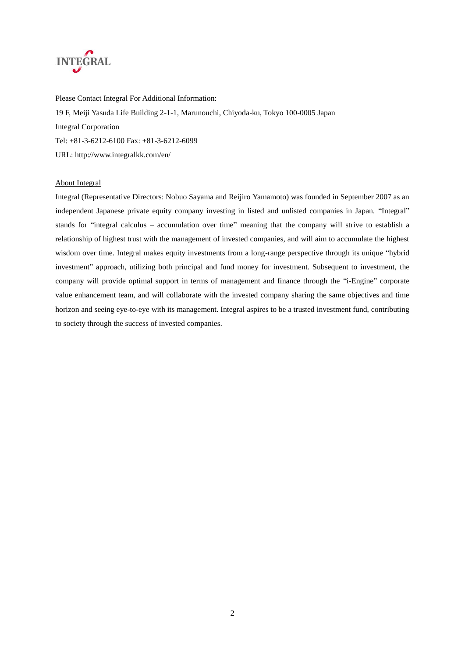

Please Contact Integral For Additional Information: 19 F, Meiji Yasuda Life Building 2-1-1, Marunouchi, Chiyoda-ku, Tokyo 100-0005 Japan Integral Corporation Tel: +81-3-6212-6100 Fax: +81-3-6212-6099 URL: http://www.integralkk.com/en/

### About Integral

Integral (Representative Directors: Nobuo Sayama and Reijiro Yamamoto) was founded in September 2007 as an independent Japanese private equity company investing in listed and unlisted companies in Japan. "Integral" stands for "integral calculus – accumulation over time" meaning that the company will strive to establish a relationship of highest trust with the management of invested companies, and will aim to accumulate the highest wisdom over time. Integral makes equity investments from a long-range perspective through its unique "hybrid investment" approach, utilizing both principal and fund money for investment. Subsequent to investment, the company will provide optimal support in terms of management and finance through the "i-Engine" corporate value enhancement team, and will collaborate with the invested company sharing the same objectives and time horizon and seeing eye-to-eye with its management. Integral aspires to be a trusted investment fund, contributing to society through the success of invested companies.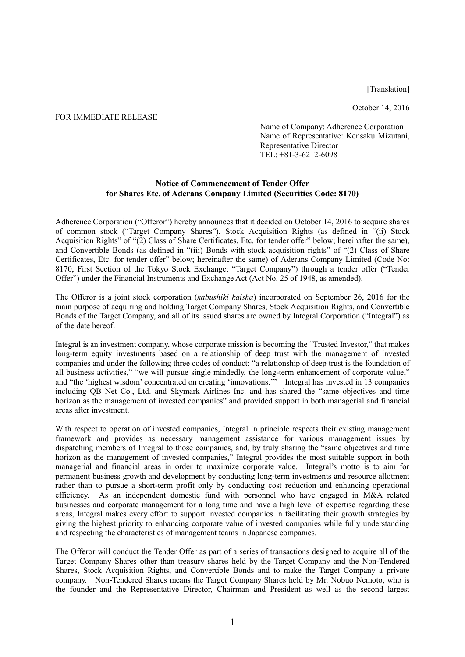[Translation]

October 14, 2016

### FOR IMMEDIATE RELEASE

Name of Company: Adherence Corporation Name of Representative: Kensaku Mizutani, Representative Director TEL: +81-3-6212-6098

# **Notice of Commencement of Tender Offer for Shares Etc. of Aderans Company Limited (Securities Code: 8170)**

Adherence Corporation ("Offeror") hereby announces that it decided on October 14, 2016 to acquire shares of common stock ("Target Company Shares"), Stock Acquisition Rights (as defined in "(ii) Stock Acquisition Rights" of "(2) Class of Share Certificates, Etc. for tender offer" below; hereinafter the same), and Convertible Bonds (as defined in "(iii) Bonds with stock acquisition rights" of "(2) Class of Share Certificates, Etc. for tender offer" below; hereinafter the same) of Aderans Company Limited (Code No: 8170, First Section of the Tokyo Stock Exchange; "Target Company") through a tender offer ("Tender Offer") under the Financial Instruments and Exchange Act (Act No. 25 of 1948, as amended).

The Offeror is a joint stock corporation (*kabushiki kaisha*) incorporated on September 26, 2016 for the main purpose of acquiring and holding Target Company Shares, Stock Acquisition Rights, and Convertible Bonds of the Target Company, and all of its issued shares are owned by Integral Corporation ("Integral") as of the date hereof.

Integral is an investment company, whose corporate mission is becoming the "Trusted Investor," that makes long-term equity investments based on a relationship of deep trust with the management of invested companies and under the following three codes of conduct: "a relationship of deep trust is the foundation of all business activities," "we will pursue single mindedly, the long-term enhancement of corporate value," and "the 'highest wisdom' concentrated on creating 'innovations.'" Integral has invested in 13 companies including QB Net Co., Ltd. and Skymark Airlines Inc. and has shared the "same objectives and time horizon as the management of invested companies" and provided support in both managerial and financial areas after investment.

With respect to operation of invested companies, Integral in principle respects their existing management framework and provides as necessary management assistance for various management issues by dispatching members of Integral to those companies, and, by truly sharing the "same objectives and time horizon as the management of invested companies," Integral provides the most suitable support in both managerial and financial areas in order to maximize corporate value. Integral's motto is to aim for permanent business growth and development by conducting long-term investments and resource allotment rather than to pursue a short-term profit only by conducting cost reduction and enhancing operational efficiency. As an independent domestic fund with personnel who have engaged in M&A related businesses and corporate management for a long time and have a high level of expertise regarding these areas, Integral makes every effort to support invested companies in facilitating their growth strategies by giving the highest priority to enhancing corporate value of invested companies while fully understanding and respecting the characteristics of management teams in Japanese companies.

The Offeror will conduct the Tender Offer as part of a series of transactions designed to acquire all of the Target Company Shares other than treasury shares held by the Target Company and the Non-Tendered Shares, Stock Acquisition Rights, and Convertible Bonds and to make the Target Company a private company. Non-Tendered Shares means the Target Company Shares held by Mr. Nobuo Nemoto, who is the founder and the Representative Director, Chairman and President as well as the second largest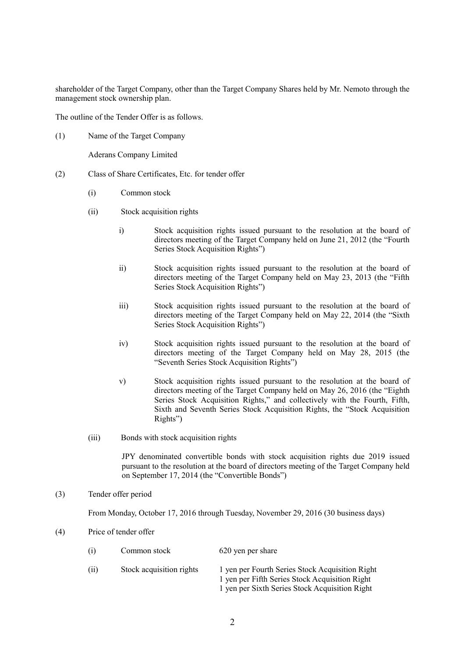shareholder of the Target Company, other than the Target Company Shares held by Mr. Nemoto through the management stock ownership plan.

The outline of the Tender Offer is as follows.

(1) Name of the Target Company

Aderans Company Limited

- (2) Class of Share Certificates, Etc. for tender offer
	- (i) Common stock
	- (ii) Stock acquisition rights
		- i) Stock acquisition rights issued pursuant to the resolution at the board of directors meeting of the Target Company held on June 21, 2012 (the "Fourth Series Stock Acquisition Rights")
		- ii) Stock acquisition rights issued pursuant to the resolution at the board of directors meeting of the Target Company held on May 23, 2013 (the "Fifth Series Stock Acquisition Rights")
		- iii) Stock acquisition rights issued pursuant to the resolution at the board of directors meeting of the Target Company held on May 22, 2014 (the "Sixth Series Stock Acquisition Rights")
		- iv) Stock acquisition rights issued pursuant to the resolution at the board of directors meeting of the Target Company held on May 28, 2015 (the "Seventh Series Stock Acquisition Rights")
		- v) Stock acquisition rights issued pursuant to the resolution at the board of directors meeting of the Target Company held on May 26, 2016 (the "Eighth Series Stock Acquisition Rights," and collectively with the Fourth, Fifth, Sixth and Seventh Series Stock Acquisition Rights, the "Stock Acquisition Rights")
	- (iii) Bonds with stock acquisition rights

JPY denominated convertible bonds with stock acquisition rights due 2019 issued pursuant to the resolution at the board of directors meeting of the Target Company held on September 17, 2014 (the "Convertible Bonds")

## (3) Tender offer period

From Monday, October 17, 2016 through Tuesday, November 29, 2016 (30 business days)

(4) Price of tender offer

| (i)  | Common stock             | 620 yen per share                                                                                                                                   |  |
|------|--------------------------|-----------------------------------------------------------------------------------------------------------------------------------------------------|--|
| (ii) | Stock acquisition rights | 1 yen per Fourth Series Stock Acquisition Right<br>1 yen per Fifth Series Stock Acquisition Right<br>1 yen per Sixth Series Stock Acquisition Right |  |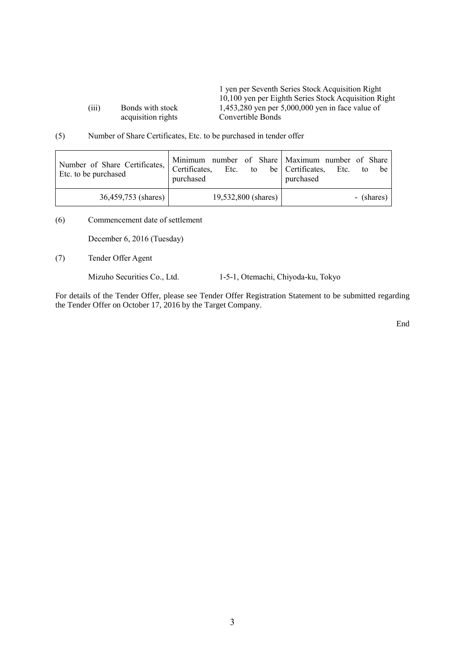acquisition rights

1 yen per Seventh Series Stock Acquisition Right 10,100 yen per Eighth Series Stock Acquisition Right (iii) Bonds with stock 1,453,280 yen per 5,000,000 yen in face value of acquisition rights Convertible Bonds

(5) Number of Share Certificates, Etc. to be purchased in tender offer

| Number of Share Certificates, Certificates, | Minimum number of Share Maximum number of Share | Etc. to be Certificates, Etc. to be |
|---------------------------------------------|-------------------------------------------------|-------------------------------------|
| Etc. to be purchased                        | purchased                                       | purchased                           |
| 36,459,753 (shares)                         | 19,532,800 (shares)                             | - (shares)                          |

(6) Commencement date of settlement

December 6, 2016 (Tuesday)

(7) Tender Offer Agent

Mizuho Securities Co., Ltd. 1-5-1, Otemachi, Chiyoda-ku, Tokyo

For details of the Tender Offer, please see Tender Offer Registration Statement to be submitted regarding the Tender Offer on October 17, 2016 by the Target Company.

End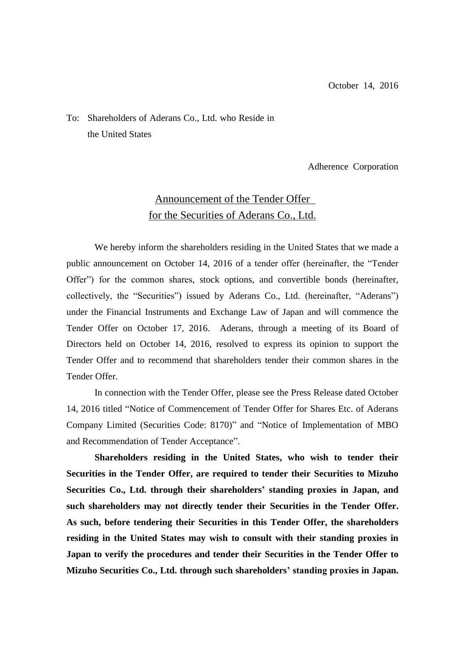# To: Shareholders of Aderans Co., Ltd. who Reside in the United States

Adherence Corporation

# Announcement of the Tender Offer for the Securities of Aderans Co., Ltd.

We hereby inform the shareholders residing in the United States that we made a public announcement on October 14, 2016 of a tender offer (hereinafter, the "Tender Offer") for the common shares, stock options, and convertible bonds (hereinafter, collectively, the "Securities") issued by Aderans Co., Ltd. (hereinafter, "Aderans") under the Financial Instruments and Exchange Law of Japan and will commence the Tender Offer on October 17, 2016. Aderans, through a meeting of its Board of Directors held on October 14, 2016, resolved to express its opinion to support the Tender Offer and to recommend that shareholders tender their common shares in the Tender Offer.

In connection with the Tender Offer, please see the Press Release dated October 14, 2016 titled "Notice of Commencement of Tender Offer for Shares Etc. of Aderans Company Limited (Securities Code: 8170)" and "Notice of Implementation of MBO and Recommendation of Tender Acceptance".

**Shareholders residing in the United States, who wish to tender their Securities in the Tender Offer, are required to tender their Securities to Mizuho Securities Co., Ltd. through their shareholders' standing proxies in Japan, and such shareholders may not directly tender their Securities in the Tender Offer. As such, before tendering their Securities in this Tender Offer, the shareholders residing in the United States may wish to consult with their standing proxies in Japan to verify the procedures and tender their Securities in the Tender Offer to Mizuho Securities Co., Ltd. through such shareholders' standing proxies in Japan.**